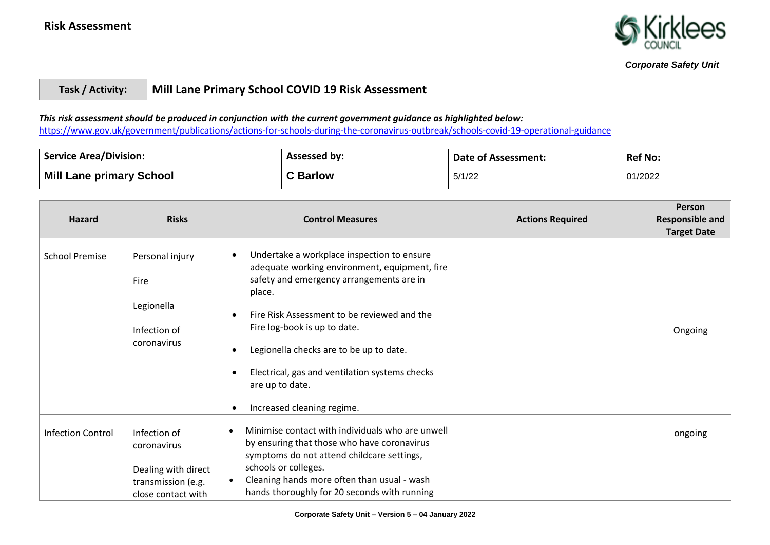

# **Task / Activity: Mill Lane Primary School COVID 19 Risk Assessment**

## *This risk assessment should be produced in conjunction with the current government guidance as highlighted below:*

<https://www.gov.uk/government/publications/actions-for-schools-during-the-coronavirus-outbreak/schools-covid-19-operational-guidance>

| <b>Service Area/Division:</b>   | Assessed by:    | Date of Assessment: | <b>Ref No:</b> |
|---------------------------------|-----------------|---------------------|----------------|
| <b>Mill Lane primary School</b> | <b>C</b> Barlow | 5/1/22              | 01/2022        |

| <b>Hazard</b>            | <b>Risks</b>                                                                                   | <b>Control Measures</b>                                                                                                                                                                                                                                                                                                                                                             | <b>Actions Required</b> | Person<br><b>Responsible and</b><br><b>Target Date</b> |
|--------------------------|------------------------------------------------------------------------------------------------|-------------------------------------------------------------------------------------------------------------------------------------------------------------------------------------------------------------------------------------------------------------------------------------------------------------------------------------------------------------------------------------|-------------------------|--------------------------------------------------------|
| <b>School Premise</b>    | Personal injury<br>Fire<br>Legionella<br>Infection of<br>coronavirus                           | Undertake a workplace inspection to ensure<br>adequate working environment, equipment, fire<br>safety and emergency arrangements are in<br>place.<br>Fire Risk Assessment to be reviewed and the<br>Fire log-book is up to date.<br>Legionella checks are to be up to date.<br>Electrical, gas and ventilation systems checks<br>are up to date.<br>Increased cleaning regime.<br>٠ |                         | Ongoing                                                |
| <b>Infection Control</b> | Infection of<br>coronavirus<br>Dealing with direct<br>transmission (e.g.<br>close contact with | Minimise contact with individuals who are unwell<br>by ensuring that those who have coronavirus<br>symptoms do not attend childcare settings,<br>schools or colleges.<br>Cleaning hands more often than usual - wash<br>hands thoroughly for 20 seconds with running                                                                                                                |                         | ongoing                                                |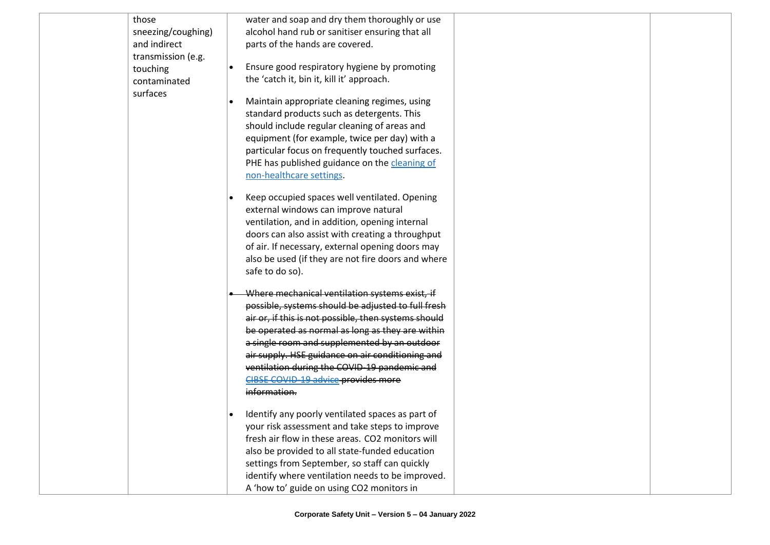| those              | water and soap and dry them thoroughly or use        |
|--------------------|------------------------------------------------------|
| sneezing/coughing) | alcohol hand rub or sanitiser ensuring that all      |
| and indirect       | parts of the hands are covered.                      |
| transmission (e.g. |                                                      |
| touching           | Ensure good respiratory hygiene by promoting         |
| contaminated       | the 'catch it, bin it, kill it' approach.            |
| surfaces           | Maintain appropriate cleaning regimes, using         |
|                    | standard products such as detergents. This           |
|                    | should include regular cleaning of areas and         |
|                    | equipment (for example, twice per day) with a        |
|                    | particular focus on frequently touched surfaces.     |
|                    | PHE has published guidance on the cleaning of        |
|                    | non-healthcare settings.                             |
|                    |                                                      |
|                    | Keep occupied spaces well ventilated. Opening        |
|                    | external windows can improve natural                 |
|                    | ventilation, and in addition, opening internal       |
|                    | doors can also assist with creating a throughput     |
|                    | of air. If necessary, external opening doors may     |
|                    | also be used (if they are not fire doors and where   |
|                    | safe to do so).                                      |
|                    | Where mechanical ventilation systems exist, if       |
|                    | possible, systems should be adjusted to full fresh   |
|                    | air or, if this is not possible, then systems should |
|                    | be operated as normal as long as they are within     |
|                    | a single room and supplemented by an outdoor         |
|                    | air supply. HSE guidance on air conditioning and     |
|                    | ventilation during the COVID-19 pandemic and         |
|                    | CIBSE COVID-19 advice provides more                  |
|                    | information.                                         |
|                    |                                                      |
|                    | Identify any poorly ventilated spaces as part of     |
|                    | your risk assessment and take steps to improve       |
|                    | fresh air flow in these areas. CO2 monitors will     |
|                    | also be provided to all state-funded education       |
|                    | settings from September, so staff can quickly        |
|                    | identify where ventilation needs to be improved.     |
|                    | A 'how to' guide on using CO2 monitors in            |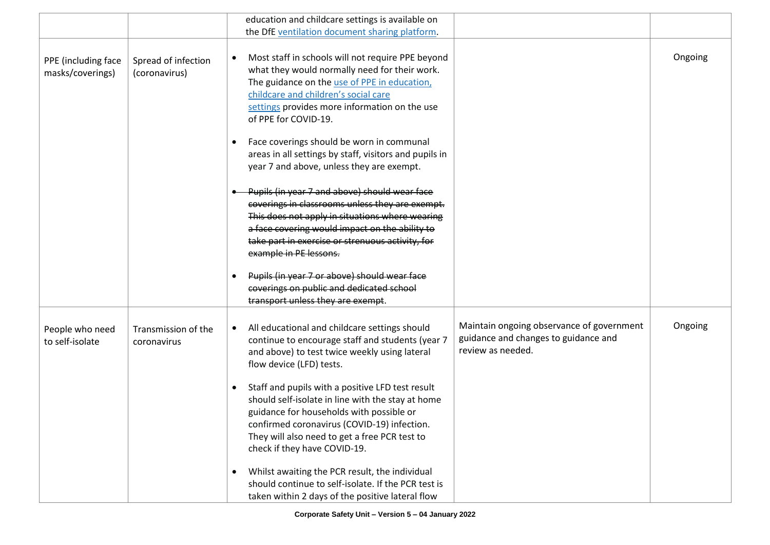|                                         |                                      | education and childcare settings is available on<br>the DfE ventilation document sharing platform.                                                                                                                                                                                  |                                                                                                        |         |
|-----------------------------------------|--------------------------------------|-------------------------------------------------------------------------------------------------------------------------------------------------------------------------------------------------------------------------------------------------------------------------------------|--------------------------------------------------------------------------------------------------------|---------|
| PPE (including face<br>masks/coverings) | Spread of infection<br>(coronavirus) | Most staff in schools will not require PPE beyond<br>what they would normally need for their work.<br>The guidance on the use of PPE in education,<br>childcare and children's social care<br>settings provides more information on the use<br>of PPE for COVID-19.                 |                                                                                                        | Ongoing |
|                                         |                                      | Face coverings should be worn in communal<br>areas in all settings by staff, visitors and pupils in<br>year 7 and above, unless they are exempt.                                                                                                                                    |                                                                                                        |         |
|                                         |                                      | Pupils (in year 7 and above) should wear face<br>coverings in classrooms unless they are exempt.<br>This does not apply in situations where wearing<br>a face covering would impact on the ability to<br>take part in exercise or strenuous activity, for<br>example in PE lessons. |                                                                                                        |         |
|                                         |                                      | Pupils (in year 7 or above) should wear face<br>coverings on public and dedicated school<br>transport unless they are exempt.                                                                                                                                                       |                                                                                                        |         |
| People who need<br>to self-isolate      | Transmission of the<br>coronavirus   | All educational and childcare settings should<br>continue to encourage staff and students (year 7<br>and above) to test twice weekly using lateral<br>flow device (LFD) tests.                                                                                                      | Maintain ongoing observance of government<br>guidance and changes to guidance and<br>review as needed. | Ongoing |
|                                         |                                      | Staff and pupils with a positive LFD test result<br>should self-isolate in line with the stay at home<br>guidance for households with possible or<br>confirmed coronavirus (COVID-19) infection.<br>They will also need to get a free PCR test to<br>check if they have COVID-19.   |                                                                                                        |         |
|                                         |                                      | Whilst awaiting the PCR result, the individual<br>should continue to self-isolate. If the PCR test is<br>taken within 2 days of the positive lateral flow                                                                                                                           |                                                                                                        |         |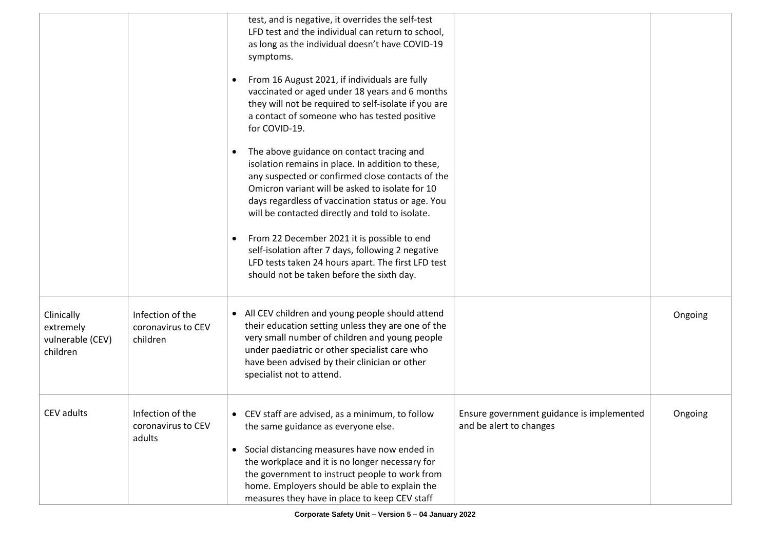|                                                         |                                                    | test, and is negative, it overrides the self-test<br>LFD test and the individual can return to school,<br>as long as the individual doesn't have COVID-19<br>symptoms.                                                                                                                                                                         |                                                                      |         |
|---------------------------------------------------------|----------------------------------------------------|------------------------------------------------------------------------------------------------------------------------------------------------------------------------------------------------------------------------------------------------------------------------------------------------------------------------------------------------|----------------------------------------------------------------------|---------|
|                                                         |                                                    | From 16 August 2021, if individuals are fully<br>vaccinated or aged under 18 years and 6 months<br>they will not be required to self-isolate if you are<br>a contact of someone who has tested positive<br>for COVID-19.                                                                                                                       |                                                                      |         |
|                                                         |                                                    | The above guidance on contact tracing and<br>isolation remains in place. In addition to these,<br>any suspected or confirmed close contacts of the<br>Omicron variant will be asked to isolate for 10<br>days regardless of vaccination status or age. You<br>will be contacted directly and told to isolate.                                  |                                                                      |         |
|                                                         |                                                    | From 22 December 2021 it is possible to end<br>self-isolation after 7 days, following 2 negative<br>LFD tests taken 24 hours apart. The first LFD test<br>should not be taken before the sixth day.                                                                                                                                            |                                                                      |         |
| Clinically<br>extremely<br>vulnerable (CEV)<br>children | Infection of the<br>coronavirus to CEV<br>children | • All CEV children and young people should attend<br>their education setting unless they are one of the<br>very small number of children and young people<br>under paediatric or other specialist care who<br>have been advised by their clinician or other<br>specialist not to attend.                                                       |                                                                      | Ongoing |
| CEV adults                                              | Infection of the<br>coronavirus to CEV<br>adults   | • CEV staff are advised, as a minimum, to follow<br>the same guidance as everyone else.<br>Social distancing measures have now ended in<br>the workplace and it is no longer necessary for<br>the government to instruct people to work from<br>home. Employers should be able to explain the<br>measures they have in place to keep CEV staff | Ensure government guidance is implemented<br>and be alert to changes | Ongoing |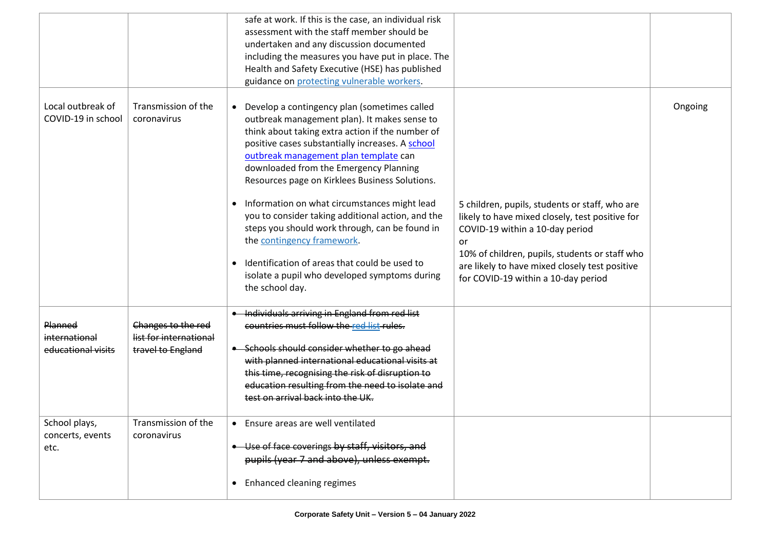|                                                |                                                                   | safe at work. If this is the case, an individual risk<br>assessment with the staff member should be<br>undertaken and any discussion documented<br>including the measures you have put in place. The<br>Health and Safety Executive (HSE) has published<br>guidance on protecting vulnerable workers.                                                                                                                                                                                                                                                                                                                                                 |                                                                                                                                                                                                                                                                                       |         |
|------------------------------------------------|-------------------------------------------------------------------|-------------------------------------------------------------------------------------------------------------------------------------------------------------------------------------------------------------------------------------------------------------------------------------------------------------------------------------------------------------------------------------------------------------------------------------------------------------------------------------------------------------------------------------------------------------------------------------------------------------------------------------------------------|---------------------------------------------------------------------------------------------------------------------------------------------------------------------------------------------------------------------------------------------------------------------------------------|---------|
| Local outbreak of<br>COVID-19 in school        | Transmission of the<br>coronavirus                                | • Develop a contingency plan (sometimes called<br>outbreak management plan). It makes sense to<br>think about taking extra action if the number of<br>positive cases substantially increases. A school<br>outbreak management plan template can<br>downloaded from the Emergency Planning<br>Resources page on Kirklees Business Solutions.<br>Information on what circumstances might lead<br>you to consider taking additional action, and the<br>steps you should work through, can be found in<br>the contingency framework.<br>Identification of areas that could be used to<br>isolate a pupil who developed symptoms during<br>the school day. | 5 children, pupils, students or staff, who are<br>likely to have mixed closely, test positive for<br>COVID-19 within a 10-day period<br>or<br>10% of children, pupils, students or staff who<br>are likely to have mixed closely test positive<br>for COVID-19 within a 10-day period | Ongoing |
| Planned<br>international<br>educational visits | Changes to the red<br>list for international<br>travel to England | • Individuals arriving in England from red list<br>countries must follow the red list rules.<br>-Schools should consider whether to go ahead<br>with planned international educational visits at<br>this time, recognising the risk of disruption to<br>education resulting from the need to isolate and<br>test on arrival back into the UK.                                                                                                                                                                                                                                                                                                         |                                                                                                                                                                                                                                                                                       |         |
| School plays,<br>concerts, events<br>etc.      | Transmission of the<br>coronavirus                                | • Ensure areas are well ventilated<br>• Use of face coverings by staff, visitors, and<br>pupils (year 7 and above), unless exempt.<br>• Enhanced cleaning regimes                                                                                                                                                                                                                                                                                                                                                                                                                                                                                     |                                                                                                                                                                                                                                                                                       |         |